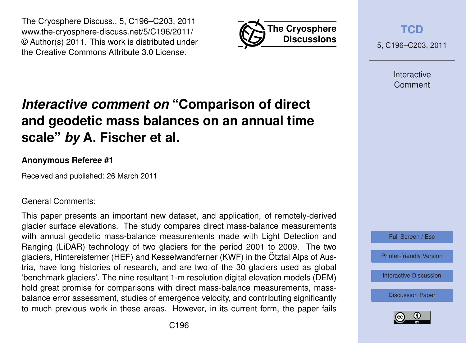



**[TCD](http://www.the-cryosphere-discuss.net)**

5, C196–C203, 2011

Interactive **Comment** 

# *Interactive comment on* **"Comparison of direct and geodetic mass balances on an annual time scale"** *by* **A. Fischer et al.**

## **Anonymous Referee #1**

Received and published: 26 March 2011

### General Comments:

This paper presents an important new dataset, and application, of remotely-derived glacier surface elevations. The study compares direct mass-balance measurements with annual geodetic mass-balance measurements made with Light Detection and Ranging (LiDAR) technology of two glaciers for the period 2001 to 2009. The two glaciers, Hintereisferner (HEF) and Kesselwandferner (KWF) in the Ötztal Alps of Austria, have long histories of research, and are two of the 30 glaciers used as global 'benchmark glaciers'. The nine resultant 1-m resolution digital elevation models (DEM) hold great promise for comparisons with direct mass-balance measurements, massbalance error assessment, studies of emergence velocity, and contributing significantly to much previous work in these areas. However, in its current form, the paper fails



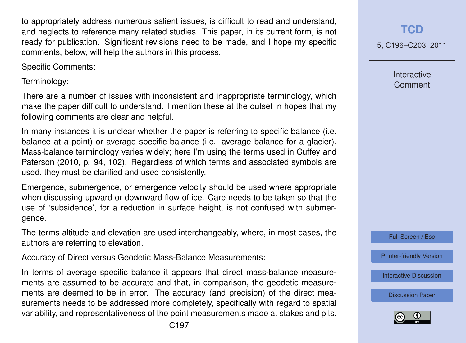to appropriately address numerous salient issues, is difficult to read and understand, and neglects to reference many related studies. This paper, in its current form, is not ready for publication. Significant revisions need to be made, and I hope my specific comments, below, will help the authors in this process.

Specific Comments:

Terminology:

There are a number of issues with inconsistent and inappropriate terminology, which make the paper difficult to understand. I mention these at the outset in hopes that my following comments are clear and helpful.

In many instances it is unclear whether the paper is referring to specific balance (i.e. balance at a point) or average specific balance (i.e. average balance for a glacier). Mass-balance terminology varies widely; here I'm using the terms used in Cuffey and Paterson (2010, p. 94, 102). Regardless of which terms and associated symbols are used, they must be clarified and used consistently.

Emergence, submergence, or emergence velocity should be used where appropriate when discussing upward or downward flow of ice. Care needs to be taken so that the use of 'subsidence', for a reduction in surface height, is not confused with submergence.

The terms altitude and elevation are used interchangeably, where, in most cases, the authors are referring to elevation.

Accuracy of Direct versus Geodetic Mass-Balance Measurements:

In terms of average specific balance it appears that direct mass-balance measurements are assumed to be accurate and that, in comparison, the geodetic measurements are deemed to be in error. The accuracy (and precision) of the direct measurements needs to be addressed more completely, specifically with regard to spatial variability, and representativeness of the point measurements made at stakes and pits.

**[TCD](http://www.the-cryosphere-discuss.net)**

5, C196–C203, 2011

Interactive **Comment** 

Full Screen / Esc

[Printer-friendly Version](http://www.the-cryosphere-discuss.net/5/C196/2011/tcd-5-C196-2011-print.pdf)

[Interactive Discussion](http://www.the-cryosphere-discuss.net/5/565/2011/tcd-5-565-2011-discussion.html)

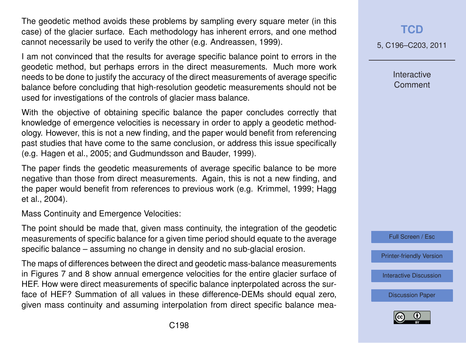The geodetic method avoids these problems by sampling every square meter (in this case) of the glacier surface. Each methodology has inherent errors, and one method cannot necessarily be used to verify the other (e.g. Andreassen, 1999).

I am not convinced that the results for average specific balance point to errors in the geodetic method, but perhaps errors in the direct measurements. Much more work needs to be done to justify the accuracy of the direct measurements of average specific balance before concluding that high-resolution geodetic measurements should not be used for investigations of the controls of glacier mass balance.

With the objective of obtaining specific balance the paper concludes correctly that knowledge of emergence velocities is necessary in order to apply a geodetic methodology. However, this is not a new finding, and the paper would benefit from referencing past studies that have come to the same conclusion, or address this issue specifically (e.g. Hagen et al., 2005; and Gudmundsson and Bauder, 1999).

The paper finds the geodetic measurements of average specific balance to be more negative than those from direct measurements. Again, this is not a new finding, and the paper would benefit from references to previous work (e.g. Krimmel, 1999; Hagg et al., 2004).

Mass Continuity and Emergence Velocities:

The point should be made that, given mass continuity, the integration of the geodetic measurements of specific balance for a given time period should equate to the average specific balance – assuming no change in density and no sub-glacial erosion.

The maps of differences between the direct and geodetic mass-balance measurements in Figures 7 and 8 show annual emergence velocities for the entire glacier surface of HEF. How were direct measurements of specific balance inpterpolated across the surface of HEF? Summation of all values in these difference-DEMs should equal zero, given mass continuity and assuming interpolation from direct specific balance mea5, C196–C203, 2011

**Interactive Comment** 



[Printer-friendly Version](http://www.the-cryosphere-discuss.net/5/C196/2011/tcd-5-C196-2011-print.pdf)

[Interactive Discussion](http://www.the-cryosphere-discuss.net/5/565/2011/tcd-5-565-2011-discussion.html)

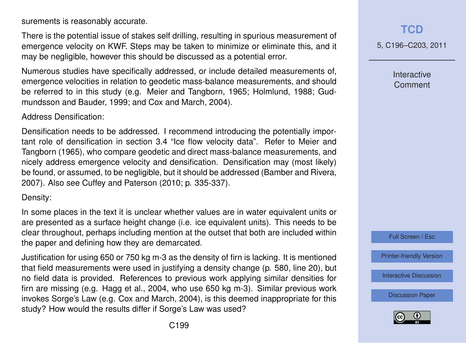surements is reasonably accurate.

There is the potential issue of stakes self drilling, resulting in spurious measurement of emergence velocity on KWF. Steps may be taken to minimize or eliminate this, and it may be negligible, however this should be discussed as a potential error.

Numerous studies have specifically addressed, or include detailed measurements of, emergence velocities in relation to geodetic mass-balance measurements, and should be referred to in this study (e.g. Meier and Tangborn, 1965; Holmlund, 1988; Gudmundsson and Bauder, 1999; and Cox and March, 2004).

#### Address Densification:

Densification needs to be addressed. I recommend introducing the potentially important role of densification in section 3.4 "Ice flow velocity data". Refer to Meier and Tangborn (1965), who compare geodetic and direct mass-balance measurements, and nicely address emergence velocity and densification. Densification may (most likely) be found, or assumed, to be negligible, but it should be addressed (Bamber and Rivera, 2007). Also see Cuffey and Paterson (2010; p. 335-337).

#### Density:

In some places in the text it is unclear whether values are in water equivalent units or are presented as a surface height change (i.e. ice equivalent units). This needs to be clear throughout, perhaps including mention at the outset that both are included within the paper and defining how they are demarcated.

Justification for using 650 or 750 kg m-3 as the density of firn is lacking. It is mentioned that field measurements were used in justifying a density change (p. 580, line 20), but no field data is provided. References to previous work applying similar densities for firn are missing (e.g. Hagg et al., 2004, who use 650 kg m-3). Similar previous work invokes Sorge's Law (e.g. Cox and March, 2004), is this deemed inappropriate for this study? How would the results differ if Sorge's Law was used?

## **[TCD](http://www.the-cryosphere-discuss.net)**

5, C196–C203, 2011

Interactive **Comment** 



[Printer-friendly Version](http://www.the-cryosphere-discuss.net/5/C196/2011/tcd-5-C196-2011-print.pdf)

[Interactive Discussion](http://www.the-cryosphere-discuss.net/5/565/2011/tcd-5-565-2011-discussion.html)

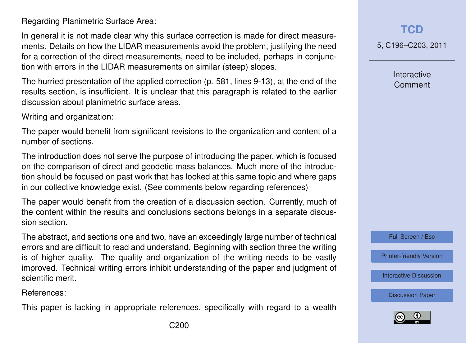Regarding Planimetric Surface Area:

In general it is not made clear why this surface correction is made for direct measurements. Details on how the LIDAR measurements avoid the problem, justifying the need for a correction of the direct measurements, need to be included, perhaps in conjunction with errors in the LIDAR measurements on similar (steep) slopes.

The hurried presentation of the applied correction (p. 581, lines 9-13), at the end of the results section, is insufficient. It is unclear that this paragraph is related to the earlier discussion about planimetric surface areas.

Writing and organization:

The paper would benefit from significant revisions to the organization and content of a number of sections.

The introduction does not serve the purpose of introducing the paper, which is focused on the comparison of direct and geodetic mass balances. Much more of the introduction should be focused on past work that has looked at this same topic and where gaps in our collective knowledge exist. (See comments below regarding references)

The paper would benefit from the creation of a discussion section. Currently, much of the content within the results and conclusions sections belongs in a separate discussion section.

The abstract, and sections one and two, have an exceedingly large number of technical errors and are difficult to read and understand. Beginning with section three the writing is of higher quality. The quality and organization of the writing needs to be vastly improved. Technical writing errors inhibit understanding of the paper and judgment of scientific merit.

References:

This paper is lacking in appropriate references, specifically with regard to a wealth

5, C196–C203, 2011

**Interactive Comment** 

Full Screen / Esc

[Printer-friendly Version](http://www.the-cryosphere-discuss.net/5/C196/2011/tcd-5-C196-2011-print.pdf)

[Interactive Discussion](http://www.the-cryosphere-discuss.net/5/565/2011/tcd-5-565-2011-discussion.html)

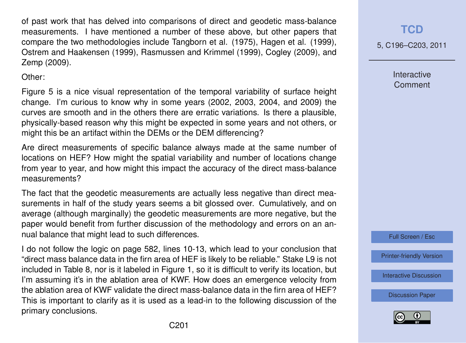of past work that has delved into comparisons of direct and geodetic mass-balance measurements. I have mentioned a number of these above, but other papers that compare the two methodologies include Tangborn et al. (1975), Hagen et al. (1999), Ostrem and Haakensen (1999), Rasmussen and Krimmel (1999), Cogley (2009), and Zemp (2009).

Other:

Figure 5 is a nice visual representation of the temporal variability of surface height change. I'm curious to know why in some years (2002, 2003, 2004, and 2009) the curves are smooth and in the others there are erratic variations. Is there a plausible, physically-based reason why this might be expected in some years and not others, or might this be an artifact within the DEMs or the DEM differencing?

Are direct measurements of specific balance always made at the same number of locations on HEF? How might the spatial variability and number of locations change from year to year, and how might this impact the accuracy of the direct mass-balance measurements?

The fact that the geodetic measurements are actually less negative than direct measurements in half of the study years seems a bit glossed over. Cumulatively, and on average (although marginally) the geodetic measurements are more negative, but the paper would benefit from further discussion of the methodology and errors on an annual balance that might lead to such differences.

I do not follow the logic on page 582, lines 10-13, which lead to your conclusion that "direct mass balance data in the firn area of HEF is likely to be reliable." Stake L9 is not included in Table 8, nor is it labeled in Figure 1, so it is difficult to verify its location, but I'm assuming it's in the ablation area of KWF. How does an emergence velocity from the ablation area of KWF validate the direct mass-balance data in the firn area of HEF? This is important to clarify as it is used as a lead-in to the following discussion of the primary conclusions.

**[TCD](http://www.the-cryosphere-discuss.net)**

5, C196–C203, 2011

**Interactive Comment** 

Full Screen / Esc

[Printer-friendly Version](http://www.the-cryosphere-discuss.net/5/C196/2011/tcd-5-C196-2011-print.pdf)

[Interactive Discussion](http://www.the-cryosphere-discuss.net/5/565/2011/tcd-5-565-2011-discussion.html)

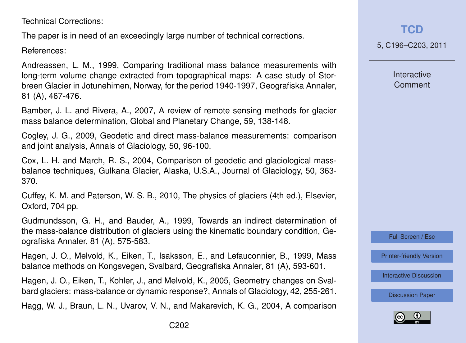Technical Corrections:

The paper is in need of an exceedingly large number of technical corrections.

References:

Andreassen, L. M., 1999, Comparing traditional mass balance measurements with long-term volume change extracted from topographical maps: A case study of Storbreen Glacier in Jotunehimen, Norway, for the period 1940-1997, Geografiska Annaler, 81 (A), 467-476.

Bamber, J. L. and Rivera, A., 2007, A review of remote sensing methods for glacier mass balance determination, Global and Planetary Change, 59, 138-148.

Cogley, J. G., 2009, Geodetic and direct mass-balance measurements: comparison and joint analysis, Annals of Glaciology, 50, 96-100.

Cox, L. H. and March, R. S., 2004, Comparison of geodetic and glaciological massbalance techniques, Gulkana Glacier, Alaska, U.S.A., Journal of Glaciology, 50, 363- 370.

Cuffey, K. M. and Paterson, W. S. B., 2010, The physics of glaciers (4th ed.), Elsevier, Oxford, 704 pp.

Gudmundsson, G. H., and Bauder, A., 1999, Towards an indirect determination of the mass-balance distribution of glaciers using the kinematic boundary condition, Geografiska Annaler, 81 (A), 575-583.

Hagen, J. O., Melvold, K., Eiken, T., Isaksson, E., and Lefauconnier, B., 1999, Mass balance methods on Kongsvegen, Svalbard, Geografiska Annaler, 81 (A), 593-601.

Hagen, J. O., Eiken, T., Kohler, J., and Melvold, K., 2005, Geometry changes on Svalbard glaciers: mass-balance or dynamic response?, Annals of Glaciology, 42, 255-261.

Hagg, W. J., Braun, L. N., Uvarov, V. N., and Makarevich, K. G., 2004, A comparison

**Interactive Comment** 



[Printer-friendly Version](http://www.the-cryosphere-discuss.net/5/C196/2011/tcd-5-C196-2011-print.pdf)

[Interactive Discussion](http://www.the-cryosphere-discuss.net/5/565/2011/tcd-5-565-2011-discussion.html)